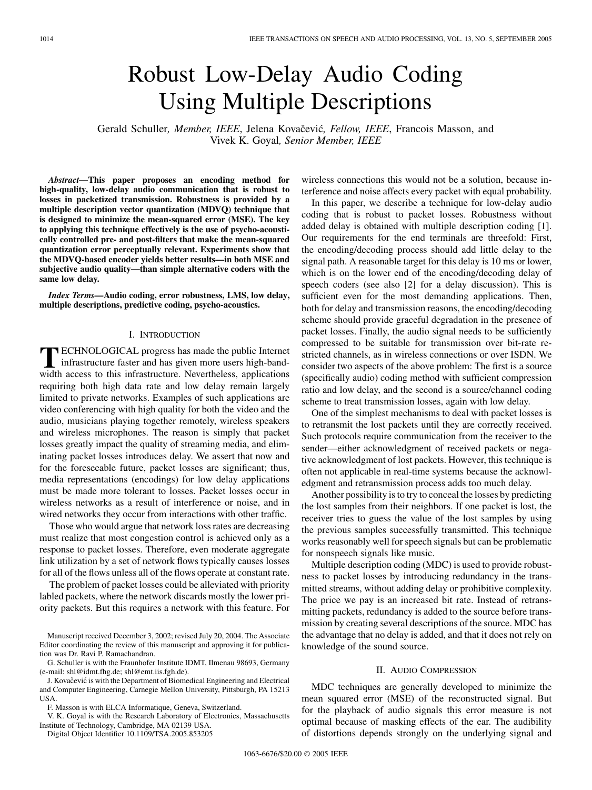# Robust Low-Delay Audio Coding Using Multiple Descriptions

Gerald Schuller, Member, IEEE, Jelena Kovačević, Fellow, IEEE, Francois Masson, and Vivek K. Goyal*, Senior Member, IEEE*

*Abstract—***This paper proposes an encoding method for high-quality, low-delay audio communication that is robust to losses in packetized transmission. Robustness is provided by a multiple description vector quantization (MDVQ) technique that is designed to minimize the mean-squared error (MSE). The key to applying this technique effectively is the use of psycho-acoustically controlled pre- and post-filters that make the mean-squared quantization error perceptually relevant. Experiments show that the MDVQ-based encoder yields better results—in both MSE and subjective audio quality—than simple alternative coders with the same low delay.**

*Index Terms—***Audio coding, error robustness, LMS, low delay, multiple descriptions, predictive coding, psycho-acoustics.**

## I. INTRODUCTION

**T**ECHNOLOGICAL progress has made the public Internet infrastructure faster and has given more users high-bandwidth access to this infrastructure. Nevertheless, applications requiring both high data rate and low delay remain largely limited to private networks. Examples of such applications are video conferencing with high quality for both the video and the audio, musicians playing together remotely, wireless speakers and wireless microphones. The reason is simply that packet losses greatly impact the quality of streaming media, and eliminating packet losses introduces delay. We assert that now and for the foreseeable future, packet losses are significant; thus, media representations (encodings) for low delay applications must be made more tolerant to losses. Packet losses occur in wireless networks as a result of interference or noise, and in wired networks they occur from interactions with other traffic.

Those who would argue that network loss rates are decreasing must realize that most congestion control is achieved only as a response to packet losses. Therefore, even moderate aggregate link utilization by a set of network flows typically causes losses for all of the flows unless all of the flows operate at constant rate.

The problem of packet losses could be alleviated with priority labled packets, where the network discards mostly the lower priority packets. But this requires a network with this feature. For

Manuscript received December 3, 2002; revised July 20, 2004. The Associate Editor coordinating the review of this manuscript and approving it for publication was Dr. Ravi P. Ramachandran.

G. Schuller is with the Fraunhofer Institute IDMT, Ilmenau 98693, Germany (e-mail: shl@idmt.fhg.de; shl@emt.iis.fgh.de).

J. Kovačević is with the Department of Biomedical Engineering and Electrical and Computer Engineering, Carnegie Mellon University, Pittsburgh, PA 15213 USA.

F. Masson is with ELCA Informatique, Geneva, Switzerland.

V. K. Goyal is with the Research Laboratory of Electronics, Massachusetts Institute of Technology, Cambridge, MA 02139 USA.

Digital Object Identifier 10.1109/TSA.2005.853205

wireless connections this would not be a solution, because interference and noise affects every packet with equal probability.

In this paper, we describe a technique for low-delay audio coding that is robust to packet losses. Robustness without added delay is obtained with multiple description coding [[1\]](#page-9-0). Our requirements for the end terminals are threefold: First, the encoding/decoding process should add little delay to the signal path. A reasonable target for this delay is 10 ms or lower, which is on the lower end of the encoding/decoding delay of speech coders (see also [\[2](#page-9-0)] for a delay discussion). This is sufficient even for the most demanding applications. Then, both for delay and transmission reasons, the encoding/decoding scheme should provide graceful degradation in the presence of packet losses. Finally, the audio signal needs to be sufficiently compressed to be suitable for transmission over bit-rate restricted channels, as in wireless connections or over ISDN. We consider two aspects of the above problem: The first is a source (specifically audio) coding method with sufficient compression ratio and low delay, and the second is a source/channel coding scheme to treat transmission losses, again with low delay.

One of the simplest mechanisms to deal with packet losses is to retransmit the lost packets until they are correctly received. Such protocols require communication from the receiver to the sender—either acknowledgment of received packets or negative acknowledgment of lost packets. However, this technique is often not applicable in real-time systems because the acknowledgment and retransmission process adds too much delay.

Another possibility is to try to conceal the losses by predicting the lost samples from their neighbors. If one packet is lost, the receiver tries to guess the value of the lost samples by using the previous samples successfully transmitted. This technique works reasonably well for speech signals but can be problematic for nonspeech signals like music.

Multiple description coding (MDC) is used to provide robustness to packet losses by introducing redundancy in the transmitted streams, without adding delay or prohibitive complexity. The price we pay is an increased bit rate. Instead of retransmitting packets, redundancy is added to the source before transmission by creating several descriptions of the source. MDC has the advantage that no delay is added, and that it does not rely on knowledge of the sound source.

# II. AUDIO COMPRESSION

MDC techniques are generally developed to minimize the mean squared error (MSE) of the reconstructed signal. But for the playback of audio signals this error measure is not optimal because of masking effects of the ear. The audibility of distortions depends strongly on the underlying signal and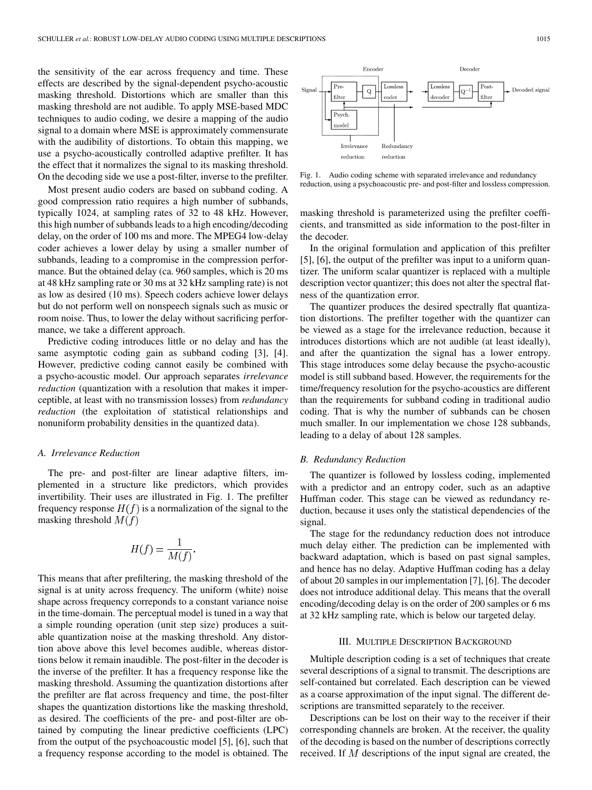the sensitivity of the ear across frequency and time. These effects are described by the signal-dependent psycho-acoustic masking threshold. Distortions which are smaller than this masking threshold are not audible. To apply MSE-based MDC techniques to audio coding, we desire a mapping of the audio signal to a domain where MSE is approximately commensurate with the audibility of distortions. To obtain this mapping, we use a psycho-acoustically controlled adaptive prefilter. It has the effect that it normalizes the signal to its masking threshold. On the decoding side we use a post-filter, inverse to the prefilter.

Most present audio coders are based on subband coding. A good compression ratio requires a high number of subbands, typically 1024, at sampling rates of 32 to 48 kHz. However, this high number of subbands leads to a high encoding/decoding delay, on the order of 100 ms and more. The MPEG4 low-delay coder achieves a lower delay by using a smaller number of subbands, leading to a compromise in the compression performance. But the obtained delay (ca. 960 samples, which is 20 ms at 48 kHz sampling rate or 30 ms at 32 kHz sampling rate) is not as low as desired (10 ms). Speech coders achieve lower delays but do not perform well on nonspeech signals such as music or room noise. Thus, to lower the delay without sacrificing performance, we take a different approach.

Predictive coding introduces little or no delay and has the same asymptotic coding gain as subband coding [[3\]](#page-9-0), [\[4](#page-9-0)]. However, predictive coding cannot easily be combined with a psycho-acoustic model. Our approach separates *irrelevance reduction* (quantization with a resolution that makes it imperceptible, at least with no transmission losses) from *redundancy reduction* (the exploitation of statistical relationships and nonuniform probability densities in the quantized data).

#### *A. Irrelevance Reduction*

The pre- and post-filter are linear adaptive filters, implemented in a structure like predictors, which provides invertibility. Their uses are illustrated in Fig. 1. The prefilter frequency response  $H(f)$  is a normalization of the signal to the masking threshold  $M(f)$ 

$$
H(f) = \frac{1}{M(f)}.
$$

This means that after prefiltering, the masking threshold of the signal is at unity across frequency. The uniform (white) noise shape across frequency correponds to a constant variance noise in the time-domain. The perceptual model is tuned in a way that a simple rounding operation (unit step size) produces a suitable quantization noise at the masking threshold. Any distortion above above this level becomes audible, whereas distortions below it remain inaudible. The post-filter in the decoder is the inverse of the prefilter. It has a frequency response like the masking threshold. Assuming the quantization distortions after the prefilter are flat across frequency and time, the post-filter shapes the quantization distortions like the masking threshold, as desired. The coefficients of the pre- and post-filter are obtained by computing the linear predictive coefficients (LPC) from the output of the psychoacoustic model [\[5](#page-9-0)], [[6\]](#page-9-0), such that a frequency response according to the model is obtained. The



Fig. 1. Audio coding scheme with separated irrelevance and redundancy reduction, using a psychoacoustic pre- and post-filter and lossless compression.

masking threshold is parameterized using the prefilter coefficients, and transmitted as side information to the post-filter in the decoder.

In the original formulation and application of this prefilter [\[5](#page-9-0)], [\[6](#page-9-0)], the output of the prefilter was input to a uniform quantizer. The uniform scalar quantizer is replaced with a multiple description vector quantizer; this does not alter the spectral flatness of the quantization error.

The quantizer produces the desired spectrally flat quantization distortions. The prefilter together with the quantizer can be viewed as a stage for the irrelevance reduction, because it introduces distortions which are not audible (at least ideally), and after the quantization the signal has a lower entropy. This stage introduces some delay because the psycho-acoustic model is still subband based. However, the requirements for the time/frequency resolution for the psycho-acoustics are different than the requirements for subband coding in traditional audio coding. That is why the number of subbands can be chosen much smaller. In our implementation we chose 128 subbands, leading to a delay of about 128 samples.

#### *B. Redundancy Reduction*

The quantizer is followed by lossless coding, implemented with a predictor and an entropy coder, such as an adaptive Huffman coder. This stage can be viewed as redundancy reduction, because it uses only the statistical dependencies of the signal.

The stage for the redundancy reduction does not introduce much delay either. The prediction can be implemented with backward adaptation, which is based on past signal samples, and hence has no delay. Adaptive Huffman coding has a delay of about 20 samples in our implementation [\[7](#page-9-0)], [\[6](#page-9-0)]. The decoder does not introduce additional delay. This means that the overall encoding/decoding delay is on the order of 200 samples or 6 ms at 32 kHz sampling rate, which is below our targeted delay.

#### III. MULTIPLE DESCRIPTION BACKGROUND

Multiple description coding is a set of techniques that create several descriptions of a signal to transmit. The descriptions are self-contained but correlated. Each description can be viewed as a coarse approximation of the input signal. The different descriptions are transmitted separately to the receiver.

Descriptions can be lost on their way to the receiver if their corresponding channels are broken. At the receiver, the quality of the decoding is based on the number of descriptions correctly received. If  $M$  descriptions of the input signal are created, the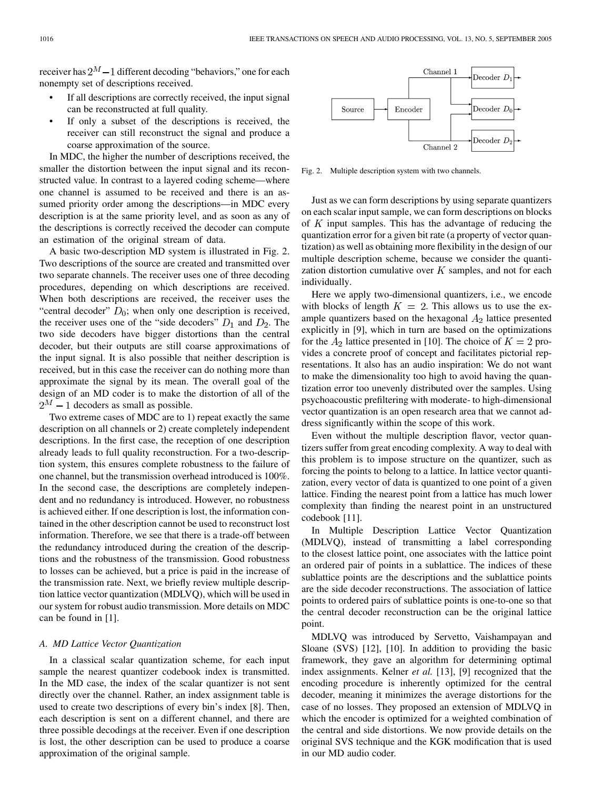receiver has  $2^M - 1$  different decoding "behaviors," one for each nonempty set of descriptions received.

- If all descriptions are correctly received, the input signal can be reconstructed at full quality.
- If only a subset of the descriptions is received, the receiver can still reconstruct the signal and produce a coarse approximation of the source.

In MDC, the higher the number of descriptions received, the smaller the distortion between the input signal and its reconstructed value. In contrast to a layered coding scheme—where one channel is assumed to be received and there is an assumed priority order among the descriptions—in MDC every description is at the same priority level, and as soon as any of the descriptions is correctly received the decoder can compute an estimation of the original stream of data.

A basic two-description MD system is illustrated in Fig. 2. Two descriptions of the source are created and transmitted over two separate channels. The receiver uses one of three decoding procedures, depending on which descriptions are received. When both descriptions are received, the receiver uses the "central decoder"  $D_0$ ; when only one description is received, the receiver uses one of the "side decoders"  $D_1$  and  $D_2$ . The two side decoders have bigger distortions than the central decoder, but their outputs are still coarse approximations of the input signal. It is also possible that neither description is received, but in this case the receiver can do nothing more than approximate the signal by its mean. The overall goal of the design of an MD coder is to make the distortion of all of the  $2^M - 1$  decoders as small as possible.

Two extreme cases of MDC are to 1) repeat exactly the same description on all channels or 2) create completely independent descriptions. In the first case, the reception of one description already leads to full quality reconstruction. For a two-description system, this ensures complete robustness to the failure of one channel, but the transmission overhead introduced is 100%. In the second case, the descriptions are completely independent and no redundancy is introduced. However, no robustness is achieved either. If one description is lost, the information contained in the other description cannot be used to reconstruct lost information. Therefore, we see that there is a trade-off between the redundancy introduced during the creation of the descriptions and the robustness of the transmission. Good robustness to losses can be achieved, but a price is paid in the increase of the transmission rate. Next, we briefly review multiple description lattice vector quantization (MDLVQ), which will be used in our system for robust audio transmission. More details on MDC can be found in [[1\]](#page-9-0).

## *A. MD Lattice Vector Quantization*

In a classical scalar quantization scheme, for each input sample the nearest quantizer codebook index is transmitted. In the MD case, the index of the scalar quantizer is not sent directly over the channel. Rather, an index assignment table is used to create two descriptions of every bin's index [[8\]](#page-9-0). Then, each description is sent on a different channel, and there are three possible decodings at the receiver. Even if one description is lost, the other description can be used to produce a coarse approximation of the original sample.



Fig. 2. Multiple description system with two channels.

Just as we can form descriptions by using separate quantizers on each scalar input sample, we can form descriptions on blocks of  $K$  input samples. This has the advantage of reducing the quantization error for a given bit rate (a property of vector quantization) as well as obtaining more flexibility in the design of our multiple description scheme, because we consider the quantization distortion cumulative over  $K$  samples, and not for each individually.

Here we apply two-dimensional quantizers, i.e., we encode with blocks of length  $K = 2$ . This allows us to use the example quantizers based on the hexagonal  $A_2$  lattice presented explicitly in [[9\]](#page-9-0), which in turn are based on the optimizations for the  $A_2$  lattice presented in [[10\]](#page-9-0). The choice of  $K = 2$  provides a concrete proof of concept and facilitates pictorial representations. It also has an audio inspiration: We do not want to make the dimensionality too high to avoid having the quantization error too unevenly distributed over the samples. Using psychoacoustic prefiltering with moderate- to high-dimensional vector quantization is an open research area that we cannot address significantly within the scope of this work.

Even without the multiple description flavor, vector quantizers suffer from great encoding complexity. A way to deal with this problem is to impose structure on the quantizer, such as forcing the points to belong to a lattice. In lattice vector quantization, every vector of data is quantized to one point of a given lattice. Finding the nearest point from a lattice has much lower complexity than finding the nearest point in an unstructured codebook [[11\]](#page-9-0).

In Multiple Description Lattice Vector Quantization (MDLVQ), instead of transmitting a label corresponding to the closest lattice point, one associates with the lattice point an ordered pair of points in a sublattice. The indices of these sublattice points are the descriptions and the sublattice points are the side decoder reconstructions. The association of lattice points to ordered pairs of sublattice points is one-to-one so that the central decoder reconstruction can be the original lattice point.

MDLVQ was introduced by Servetto, Vaishampayan and Sloane (SVS) [\[12\]](#page-9-0), [[10\]](#page-9-0). In addition to providing the basic framework, they gave an algorithm for determining optimal index assignments. Kelner *et al.* [\[13](#page-9-0)], [[9\]](#page-9-0) recognized that the encoding procedure is inherently optimized for the central decoder, meaning it minimizes the average distortions for the case of no losses. They proposed an extension of MDLVQ in which the encoder is optimized for a weighted combination of the central and side distortions. We now provide details on the original SVS technique and the KGK modification that is used in our MD audio coder.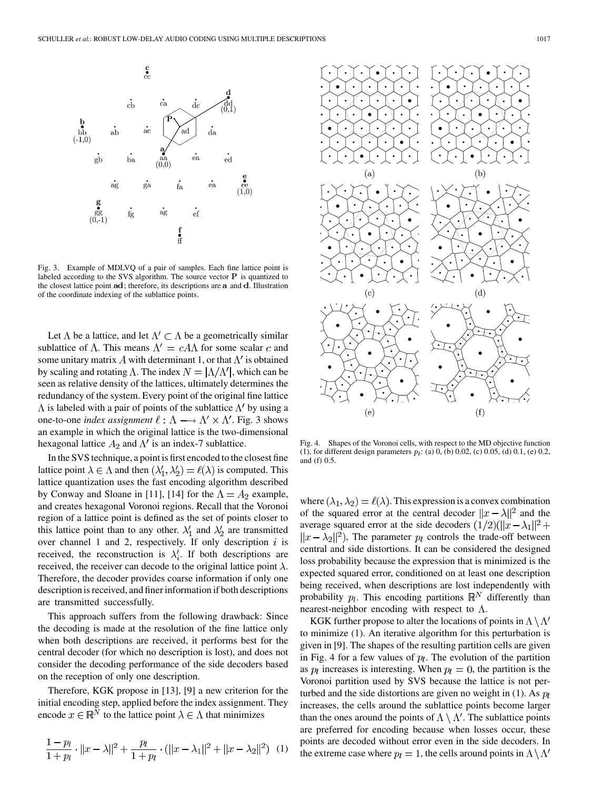

Fig. 3. Example of MDLVQ of a pair of samples. Each fine lattice point is labeled according to the SVS algorithm. The source vector  $P$  is quantized to the closest lattice point ad; therefore, its descriptions are a and d. Illustration of the coordinate indexing of the sublattice points.

Let  $\Lambda$  be a lattice, and let  $\Lambda' \subset \Lambda$  be a geometrically similar sublattice of  $\Lambda$ . This means  $\Lambda' = cA\Lambda$  for some scalar c and some unitary matrix A with determinant 1, or that  $\Lambda'$  is obtained by scaling and rotating  $\Lambda$ . The index  $N = |\Lambda/\Lambda'|$ , which can be seen as relative density of the lattices, ultimately determines the redundancy of the system. Every point of the original fine lattice  $\Lambda$  is labeled with a pair of points of the sublattice  $\Lambda'$  by using a one-to-one *index assignment*  $\ell : \Lambda \longrightarrow \Lambda' \times \Lambda'$ . Fig. 3 shows an example in which the original lattice is the two-dimensional hexagonal lattice  $A_2$  and  $\Lambda'$  is an index-7 sublattice.

In the SVS technique, a point is first encoded to the closest fine lattice point  $\lambda \in \Lambda$  and then  $(\lambda'_1, \lambda'_2) = \ell(\lambda)$  is computed. This lattice quantization uses the fast encoding algorithm described by Conway and Sloane in [\[11](#page-9-0)], [\[14](#page-9-0)] for the  $\Lambda = A_2$  example, and creates hexagonal Voronoi regions. Recall that the Voronoi region of a lattice point is defined as the set of points closer to this lattice point than to any other.  $\lambda'_1$  and  $\lambda'_2$  are transmitted over channel 1 and 2, respectively. If only description  $i$  is received, the reconstruction is  $\lambda'_i$ . If both descriptions are received, the receiver can decode to the original lattice point  $\lambda$ . Therefore, the decoder provides coarse information if only one description is received, and finer information if both descriptions are transmitted successfully.

This approach suffers from the following drawback: Since the decoding is made at the resolution of the fine lattice only when both descriptions are received, it performs best for the central decoder (for which no description is lost), and does not consider the decoding performance of the side decoders based on the reception of only one description.

Therefore, KGK propose in [[13\]](#page-9-0), [[9\]](#page-9-0) a new criterion for the initial encoding step, applied before the index assignment. They encode  $x \in \mathbb{R}^N$  to the lattice point  $\lambda \in \Lambda$  that minimizes

$$
\frac{1-p_l}{1+p_l} \cdot ||x - \lambda||^2 + \frac{p_l}{1+p_l} \cdot (||x - \lambda_1||^2 + ||x - \lambda_2||^2) \tag{1}
$$



Fig. 4. Shapes of the Voronoi cells, with respect to the MD objective function (1), for different design parameters  $p_l$ : (a) 0, (b) 0.02, (c) 0.05, (d) 0.1, (e) 0.2, and (f) 0.5.

where  $(\lambda_1, \lambda_2) = \ell(\lambda)$ . This expression is a convex combination of the squared error at the central decoder  $||x - \lambda||^2$  and the average squared error at the side decoders  $(1/2)(\|x - \lambda_1\|^2 +$  $||x - \lambda_2||^2$ , The parameter  $p_l$  controls the trade-off between central and side distortions. It can be considered the designed loss probability because the expression that is minimized is the expected squared error, conditioned on at least one description being received, when descriptions are lost independently with probability  $p_l$ . This encoding partitions  $\mathbb{R}^N$  differently than nearest-neighbor encoding with respect to  $\Lambda$ .

KGK further propose to alter the locations of points in  $\Lambda \setminus \Lambda'$ to minimize (1). An iterative algorithm for this perturbation is given in [\[9](#page-9-0)]. The shapes of the resulting partition cells are given in Fig. 4 for a few values of  $p_l$ . The evolution of the partition as  $p_l$  increases is interesting. When  $p_l = 0$ , the partition is the Voronoi partition used by SVS because the lattice is not perturbed and the side distortions are given no weight in (1). As  $p_l$ increases, the cells around the sublattice points become larger than the ones around the points of  $\Lambda \setminus \Lambda'$ . The sublattice points are preferred for encoding because when losses occur, these points are decoded without error even in the side decoders. In the extreme case where  $p_l = 1$ , the cells around points in  $\Lambda \setminus \Lambda'$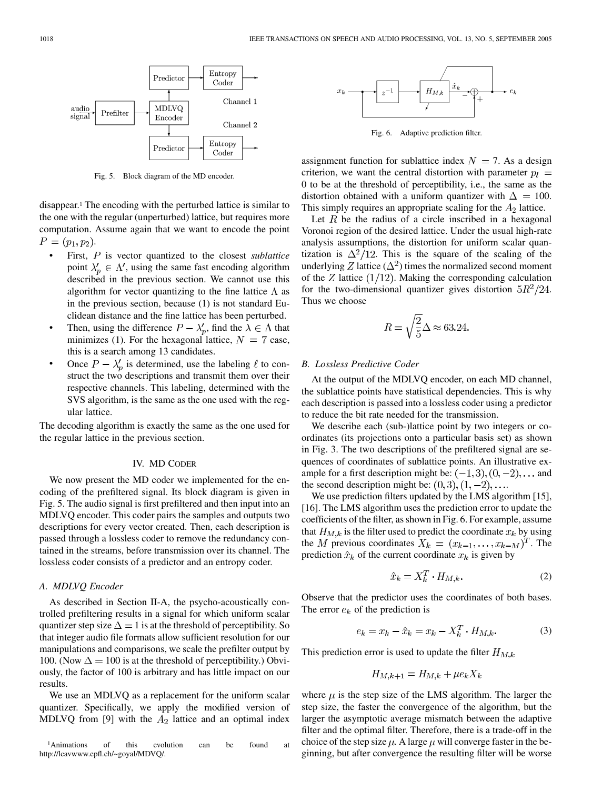

Fig. 5. Block diagram of the MD encoder.

disappear.1 The encoding with the perturbed lattice is similar to the one with the regular (unperturbed) lattice, but requires more computation. Assume again that we want to encode the point  $P = (p_1, p_2).$ 

- First, P is vector quantized to the closest *sublattice* point  $\lambda'_p \in \Lambda'$ , using the same fast encoding algorithm described in the previous section. We cannot use this algorithm for vector quantizing to the fine lattice  $\Lambda$  as in the previous section, because (1) is not standard Euclidean distance and the fine lattice has been perturbed.
- Then, using the difference  $P \lambda'_p$ , find the  $\lambda \in \Lambda$  that minimizes (1). For the hexagonal lattice,  $N = 7$  case, this is a search among 13 candidates.
- Once  $P \lambda'_p$  is determined, use the labeling  $\ell$  to construct the two descriptions and transmit them over their respective channels. This labeling, determined with the SVS algorithm, is the same as the one used with the regular lattice.

The decoding algorithm is exactly the same as the one used for the regular lattice in the previous section.

### IV. MD CODER

We now present the MD coder we implemented for the encoding of the prefiltered signal. Its block diagram is given in Fig. 5. The audio signal is first prefiltered and then input into an MDLVQ encoder. This coder pairs the samples and outputs two descriptions for every vector created. Then, each description is passed through a lossless coder to remove the redundancy contained in the streams, before transmission over its channel. The lossless coder consists of a predictor and an entropy coder.

# *A. MDLVQ Encoder*

As described in Section II-A, the psycho-acoustically controlled prefiltering results in a signal for which uniform scalar quantizer step size  $\Delta = 1$  is at the threshold of perceptibility. So that integer audio file formats allow sufficient resolution for our manipulations and comparisons, we scale the prefilter output by 100. (Now  $\Delta = 100$  is at the threshold of perceptibility.) Obviously, the factor of 100 is arbitrary and has little impact on our results.

We use an MDLVQ as a replacement for the uniform scalar quantizer. Specifically, we apply the modified version of MDLVQ from [\[9](#page-9-0)] with the  $A_2$  lattice and an optimal index

1Animations of this evolution can be found at http://lcavwww.epfl.ch/~goyal/MDVQ/.



Fig. 6. Adaptive prediction filter.

assignment function for sublattice index  $N = 7$ . As a design criterion, we want the central distortion with parameter  $p_l =$ 0 to be at the threshold of perceptibility, i.e., the same as the distortion obtained with a uniform quantizer with  $\Delta = 100$ . This simply requires an appropriate scaling for the  $A_2$  lattice.

Let  $R$  be the radius of a circle inscribed in a hexagonal Voronoi region of the desired lattice. Under the usual high-rate analysis assumptions, the distortion for uniform scalar quantization is  $\Delta^2/12$ . This is the square of the scaling of the underlying Z lattice  $({\Delta}^2)$  times the normalized second moment of the  $Z$  lattice  $(1/12)$ . Making the corresponding calculation for the two-dimensional quantizer gives distortion  $5R^2/24$ . Thus we choose

$$
R = \sqrt{\frac{2}{5}} \Delta \approx 63.24.
$$

# *B. Lossless Predictive Coder*

At the output of the MDLVQ encoder, on each MD channel, the sublattice points have statistical dependencies. This is why each description is passed into a lossless coder using a predictor to reduce the bit rate needed for the transmission.

We describe each (sub-)lattice point by two integers or coordinates (its projections onto a particular basis set) as shown in Fig. 3. The two descriptions of the prefiltered signal are sequences of coordinates of sublattice points. An illustrative example for a first description might be:  $(-1,3)$ ,  $(0,-2)$ ,... and the second description might be:  $(0,3)$ ,  $(1, -2)$ ,...

We use prediction filters updated by the LMS algorithm [[15\]](#page-9-0), [[16\]](#page-9-0). The LMS algorithm uses the prediction error to update the coefficients of the filter, as shown in Fig. 6. For example, assume that  $H_{M,k}$  is the filter used to predict the coordinate  $x_k$  by using the M previous coordinates  $X_k = (x_{k-1}, \ldots, x_{k-M})^T$ . The prediction  $\hat{x}_k$  of the current coordinate  $x_k$  is given by

$$
\hat{x}_k = X_k^T \cdot H_{M,k}.\tag{2}
$$

Observe that the predictor uses the coordinates of both bases. The error  $e_k$  of the prediction is

$$
e_k = x_k - \hat{x}_k = x_k - X_k^T \cdot H_{M,k}.\tag{3}
$$

This prediction error is used to update the filter  $H_{M,k}$ 

$$
H_{M,k+1} = H_{M,k} + \mu e_k X_k
$$

where  $\mu$  is the step size of the LMS algorithm. The larger the step size, the faster the convergence of the algorithm, but the larger the asymptotic average mismatch between the adaptive filter and the optimal filter. Therefore, there is a trade-off in the choice of the step size  $\mu$ . A large  $\mu$  will converge faster in the beginning, but after convergence the resulting filter will be worse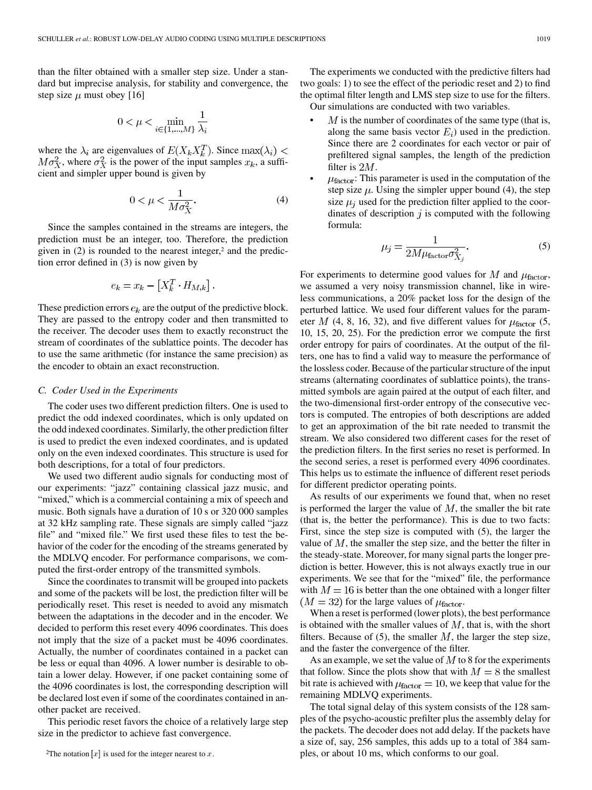than the filter obtained with a smaller step size. Under a standard but imprecise analysis, for stability and convergence, the step size  $\mu$  must obey [[16\]](#page-9-0)

$$
0 < \mu < \min_{i \in \{1, \dots, M\}} \frac{1}{\lambda_i}
$$

where the  $\lambda_i$  are eigenvalues of  $E(X_k X_k^T)$ . Since  $\max(\lambda_i)$  <  $M\sigma_X^2$ , where  $\sigma_X^2$  is the power of the input samples  $x_k$ , a sufficient and simpler upper bound is given by

$$
0 < \mu < \frac{1}{M\sigma_X^2}.\tag{4}
$$

Since the samples contained in the streams are integers, the prediction must be an integer, too. Therefore, the prediction given in  $(2)$  is rounded to the nearest integer,<sup>2</sup> and the prediction error defined in (3) is now given by

$$
e_k = x_k - \left[X_k^T \cdot H_{M,k}\right].
$$

These prediction errors  $e_k$  are the output of the predictive block. They are passed to the entropy coder and then transmitted to the receiver. The decoder uses them to exactly reconstruct the stream of coordinates of the sublattice points. The decoder has to use the same arithmetic (for instance the same precision) as the encoder to obtain an exact reconstruction.

#### *C. Coder Used in the Experiments*

The coder uses two different prediction filters. One is used to predict the odd indexed coordinates, which is only updated on the odd indexed coordinates. Similarly, the other prediction filter is used to predict the even indexed coordinates, and is updated only on the even indexed coordinates. This structure is used for both descriptions, for a total of four predictors.

We used two different audio signals for conducting most of our experiments: "jazz" containing classical jazz music, and "mixed," which is a commercial containing a mix of speech and music. Both signals have a duration of 10 s or 320 000 samples at 32 kHz sampling rate. These signals are simply called "jazz file" and "mixed file." We first used these files to test the behavior of the coder for the encoding of the streams generated by the MDLVQ encoder. For performance comparisons, we computed the first-order entropy of the transmitted symbols.

Since the coordinates to transmit will be grouped into packets and some of the packets will be lost, the prediction filter will be periodically reset. This reset is needed to avoid any mismatch between the adaptations in the decoder and in the encoder. We decided to perform this reset every 4096 coordinates. This does not imply that the size of a packet must be 4096 coordinates. Actually, the number of coordinates contained in a packet can be less or equal than 4096. A lower number is desirable to obtain a lower delay. However, if one packet containing some of the 4096 coordinates is lost, the corresponding description will be declared lost even if some of the coordinates contained in another packet are received.

This periodic reset favors the choice of a relatively large step size in the predictor to achieve fast convergence.

<sup>2</sup>The notation  $[x]$  is used for the integer nearest to x.

The experiments we conducted with the predictive filters had two goals: 1) to see the effect of the periodic reset and 2) to find the optimal filter length and LMS step size to use for the filters. Our simulations are conducted with two variables.

- $M$  is the number of coordinates of the same type (that is, along the same basis vector  $E_i$ ) used in the prediction. Since there are 2 coordinates for each vector or pair of prefiltered signal samples, the length of the prediction filter is  $2M$ .
- $\mu_{\text{factor}}$ : This parameter is used in the computation of the step size  $\mu$ . Using the simpler upper bound (4), the step size  $\mu_i$  used for the prediction filter applied to the coordinates of description  $j$  is computed with the following formula:

$$
\mu_j = \frac{1}{2M\mu_{\text{factor}}\sigma_{X_j}^2}.\tag{5}
$$

For experiments to determine good values for M and  $\mu_{\text{factor}}$ , we assumed a very noisy transmission channel, like in wireless communications, a 20% packet loss for the design of the perturbed lattice. We used four different values for the parameter M (4, 8, 16, 32), and five different values for  $\mu_{\text{factor}}$  (5, 10, 15, 20, 25). For the prediction error we compute the first order entropy for pairs of coordinates. At the output of the filters, one has to find a valid way to measure the performance of the lossless coder. Because of the particular structure of the input streams (alternating coordinates of sublattice points), the transmitted symbols are again paired at the output of each filter, and the two-dimensional first-order entropy of the consecutive vectors is computed. The entropies of both descriptions are added to get an approximation of the bit rate needed to transmit the stream. We also considered two different cases for the reset of the prediction filters. In the first series no reset is performed. In the second series, a reset is performed every 4096 coordinates. This helps us to estimate the influence of different reset periods for different predictor operating points.

As results of our experiments we found that, when no reset is performed the larger the value of  $M$ , the smaller the bit rate (that is, the better the performance). This is due to two facts: First, since the step size is computed with (5), the larger the value of  $M$ , the smaller the step size, and the better the filter in the steady-state. Moreover, for many signal parts the longer prediction is better. However, this is not always exactly true in our experiments. We see that for the "mixed" file, the performance with  $M = 16$  is better than the one obtained with a longer filter  $(M = 32)$  for the large values of  $\mu_{\text{factor}}$ .

When a reset is performed (lower plots), the best performance is obtained with the smaller values of  $M$ , that is, with the short filters. Because of  $(5)$ , the smaller M, the larger the step size, and the faster the convergence of the filter.

As an example, we set the value of  $M$  to 8 for the experiments that follow. Since the plots show that with  $M = 8$  the smallest bit rate is achieved with  $\mu_{\text{factor}} = 10$ , we keep that value for the remaining MDLVQ experiments.

The total signal delay of this system consists of the 128 samples of the psycho-acoustic prefilter plus the assembly delay for the packets. The decoder does not add delay. If the packets have a size of, say, 256 samples, this adds up to a total of 384 samples, or about 10 ms, which conforms to our goal.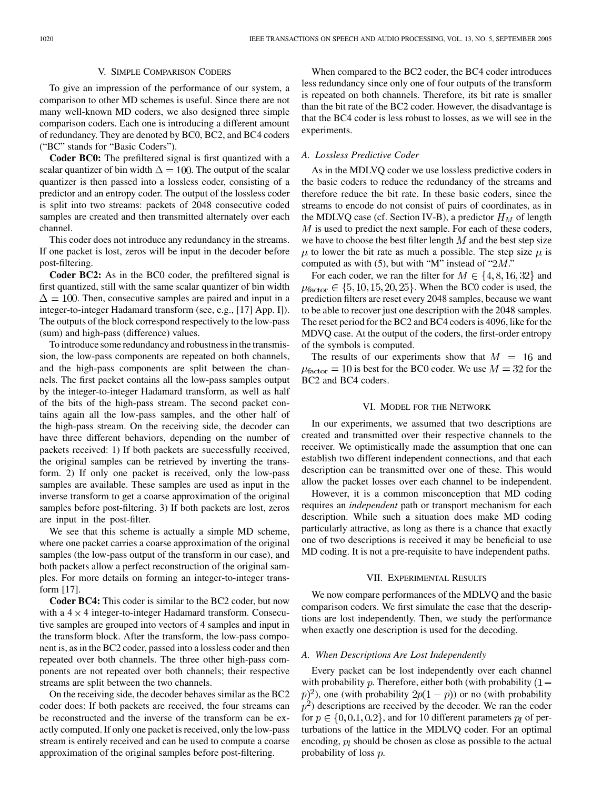To give an impression of the performance of our system, a comparison to other MD schemes is useful. Since there are not many well-known MD coders, we also designed three simple comparison coders. Each one is introducing a different amount of redundancy. They are denoted by BC0, BC2, and BC4 coders ("BC" stands for "Basic Coders").

**Coder BC0:** The prefiltered signal is first quantized with a scalar quantizer of bin width  $\Delta = 100$ . The output of the scalar quantizer is then passed into a lossless coder, consisting of a predictor and an entropy coder. The output of the lossless coder is split into two streams: packets of 2048 consecutive coded samples are created and then transmitted alternately over each channel.

This coder does not introduce any redundancy in the streams. If one packet is lost, zeros will be input in the decoder before post-filtering.

**Coder BC2:** As in the BC0 coder, the prefiltered signal is first quantized, still with the same scalar quantizer of bin width  $\Delta = 100$ . Then, consecutive samples are paired and input in a integer-to-integer Hadamard transform (see, e.g., [\[17](#page-9-0)] App. I]). The outputs of the block correspond respectively to the low-pass (sum) and high-pass (difference) values.

To introduce some redundancy and robustness in the transmission, the low-pass components are repeated on both channels, and the high-pass components are split between the channels. The first packet contains all the low-pass samples output by the integer-to-integer Hadamard transform, as well as half of the bits of the high-pass stream. The second packet contains again all the low-pass samples, and the other half of the high-pass stream. On the receiving side, the decoder can have three different behaviors, depending on the number of packets received: 1) If both packets are successfully received, the original samples can be retrieved by inverting the transform. 2) If only one packet is received, only the low-pass samples are available. These samples are used as input in the inverse transform to get a coarse approximation of the original samples before post-filtering. 3) If both packets are lost, zeros are input in the post-filter.

We see that this scheme is actually a simple MD scheme, where one packet carries a coarse approximation of the original samples (the low-pass output of the transform in our case), and both packets allow a perfect reconstruction of the original samples. For more details on forming an integer-to-integer transform [\[17](#page-9-0)].

**Coder BC4:** This coder is similar to the BC2 coder, but now with a  $4 \times 4$  integer-to-integer Hadamard transform. Consecutive samples are grouped into vectors of 4 samples and input in the transform block. After the transform, the low-pass component is, as in the BC2 coder, passed into a lossless coder and then repeated over both channels. The three other high-pass components are not repeated over both channels; their respective streams are split between the two channels.

On the receiving side, the decoder behaves similar as the BC2 coder does: If both packets are received, the four streams can be reconstructed and the inverse of the transform can be exactly computed. If only one packet is received, only the low-pass stream is entirely received and can be used to compute a coarse approximation of the original samples before post-filtering.

When compared to the BC2 coder, the BC4 coder introduces less redundancy since only one of four outputs of the transform is repeated on both channels. Therefore, its bit rate is smaller than the bit rate of the BC2 coder. However, the disadvantage is that the BC4 coder is less robust to losses, as we will see in the experiments.

## *A. Lossless Predictive Coder*

As in the MDLVQ coder we use lossless predictive coders in the basic coders to reduce the redundancy of the streams and therefore reduce the bit rate. In these basic coders, since the streams to encode do not consist of pairs of coordinates, as in the MDLVQ case (cf. Section IV-B), a predictor  $H_M$  of length  $M$  is used to predict the next sample. For each of these coders, we have to choose the best filter length  $M$  and the best step size  $\mu$  to lower the bit rate as much a possible. The step size  $\mu$  is computed as with (5), but with "M" instead of " $2M$ ."

For each coder, we ran the filter for  $M \in \{4, 8, 16, 32\}$  and  $\mu_{\text{factor}} \in \{5, 10, 15, 20, 25\}$ . When the BC0 coder is used, the prediction filters are reset every 2048 samples, because we want to be able to recover just one description with the 2048 samples. The reset period for the BC2 and BC4 coders is 4096, like for the MDVQ case. At the output of the coders, the first-order entropy of the symbols is computed.

The results of our experiments show that  $M = 16$  and  $\mu_{\rm factor} = 10$  is best for the BC0 coder. We use  $M = 32$  for the BC2 and BC4 coders.

#### VI. MODEL FOR THE NETWORK

In our experiments, we assumed that two descriptions are created and transmitted over their respective channels to the receiver. We optimistically made the assumption that one can establish two different independent connections, and that each description can be transmitted over one of these. This would allow the packet losses over each channel to be independent.

However, it is a common misconception that MD coding requires an *independent* path or transport mechanism for each description. While such a situation does make MD coding particularly attractive, as long as there is a chance that exactly one of two descriptions is received it may be beneficial to use MD coding. It is not a pre-requisite to have independent paths.

#### VII. EXPERIMENTAL RESULTS

We now compare performances of the MDLVQ and the basic comparison coders. We first simulate the case that the descriptions are lost independently. Then, we study the performance when exactly one description is used for the decoding.

#### *A. When Descriptions Are Lost Independently*

Every packet can be lost independently over each channel with probability p. Therefore, either both (with probability  $(1 (p)^2$ ), one (with probability  $2p(1-p)$ ) or no (with probability  $p<sup>2</sup>$ ) descriptions are received by the decoder. We ran the coder for  $p \in \{0, 0.1, 0.2\}$ , and for 10 different parameters  $p_l$  of perturbations of the lattice in the MDLVQ coder. For an optimal encoding,  $p_l$  should be chosen as close as possible to the actual probability of loss  $p$ .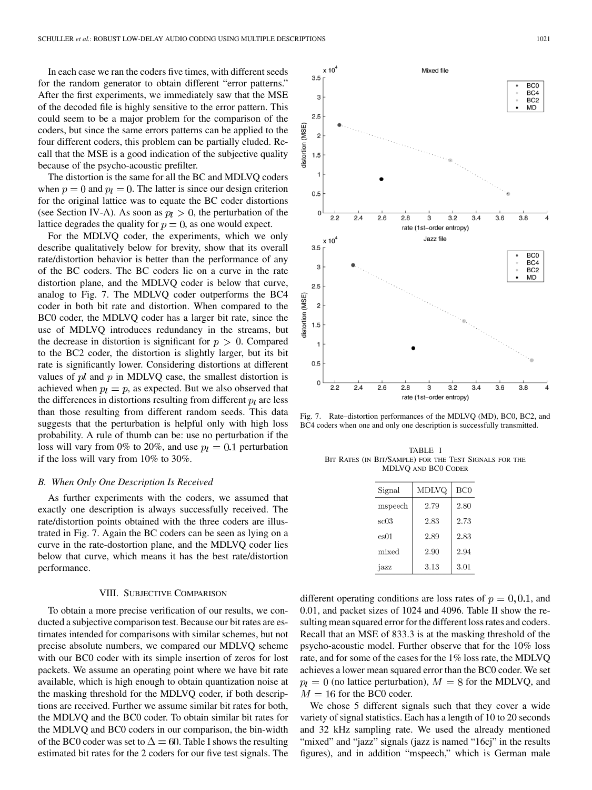In each case we ran the coders five times, with different seeds for the random generator to obtain different "error patterns." After the first experiments, we immediately saw that the MSE of the decoded file is highly sensitive to the error pattern. This could seem to be a major problem for the comparison of the coders, but since the same errors patterns can be applied to the four different coders, this problem can be partially eluded. Recall that the MSE is a good indication of the subjective quality because of the psycho-acoustic prefilter.

The distortion is the same for all the BC and MDLVQ coders when  $p = 0$  and  $p_l = 0$ . The latter is since our design criterion for the original lattice was to equate the BC coder distortions (see Section IV-A). As soon as  $p_l > 0$ , the perturbation of the lattice degrades the quality for  $p = 0$ , as one would expect.

For the MDLVQ coder, the experiments, which we only describe qualitatively below for brevity, show that its overall rate/distortion behavior is better than the performance of any of the BC coders. The BC coders lie on a curve in the rate distortion plane, and the MDLVQ coder is below that curve, analog to Fig. 7. The MDLVQ coder outperforms the BC4 coder in both bit rate and distortion. When compared to the BC0 coder, the MDLVQ coder has a larger bit rate, since the use of MDLVQ introduces redundancy in the streams, but the decrease in distortion is significant for  $p > 0$ . Compared to the BC2 coder, the distortion is slightly larger, but its bit rate is significantly lower. Considering distortions at different values of  $pl$  and  $p$  in MDLVQ case, the smallest distortion is achieved when  $p_l = p$ , as expected. But we also observed that the differences in distortions resulting from different  $p_l$  are less than those resulting from different random seeds. This data suggests that the perturbation is helpful only with high loss probability. A rule of thumb can be: use no perturbation if the loss will vary from 0% to 20%, and use  $p_l = 0.1$  perturbation if the loss will vary from 10% to 30%.

## *B. When Only One Description Is Received*

As further experiments with the coders, we assumed that exactly one description is always successfully received. The rate/distortion points obtained with the three coders are illustrated in Fig. 7. Again the BC coders can be seen as lying on a curve in the rate-dostortion plane, and the MDLVQ coder lies below that curve, which means it has the best rate/distortion performance.

## VIII. SUBJECTIVE COMPARISON

To obtain a more precise verification of our results, we conducted a subjective comparison test. Because our bit rates are estimates intended for comparisons with similar schemes, but not precise absolute numbers, we compared our MDLVQ scheme with our BC0 coder with its simple insertion of zeros for lost packets. We assume an operating point where we have bit rate available, which is high enough to obtain quantization noise at the masking threshold for the MDLVQ coder, if both descriptions are received. Further we assume similar bit rates for both, the MDLVQ and the BC0 coder. To obtain similar bit rates for the MDLVQ and BC0 coders in our comparison, the bin-width of the BC0 coder was set to  $\Delta = 60$ . Table I shows the resulting estimated bit rates for the 2 coders for our five test signals. The



Fig. 7. Rate–distortion performances of the MDLVQ (MD), BC0, BC2, and BC4 coders when one and only one description is successfully transmitted.

TABLE I BIT RATES (IN BIT/SAMPLE) FOR THE TEST SIGNALS FOR THE MDLVQ AND BC0 CODER

| Signal        | <b>MDLVQ</b> | BC0  |
|---------------|--------------|------|
| mspeech       | 2.79         | 2.80 |
| sc03          | 2.83         | 2.73 |
| $_{\rm es01}$ | 2.89         | 2.83 |
| mixed         | 2.90         | 2.94 |
| 1azz          | 3.13         | 3.01 |

different operating conditions are loss rates of  $p = 0, 0.1$ , and 0.01, and packet sizes of 1024 and 4096. Table II show the resulting mean squared error for the different loss rates and coders. Recall that an MSE of 833.3 is at the masking threshold of the psycho-acoustic model. Further observe that for the 10% loss rate, and for some of the cases for the 1% loss rate, the MDLVQ achieves a lower mean squared error than the BC0 coder. We set  $p_l = 0$  (no lattice perturbation),  $M = 8$  for the MDLVQ, and  $M = 16$  for the BC0 coder.

We chose 5 different signals such that they cover a wide variety of signal statistics. Each has a length of 10 to 20 seconds and 32 kHz sampling rate. We used the already mentioned "mixed" and "jazz" signals (jazz is named "16cj" in the results figures), and in addition "mspeech," which is German male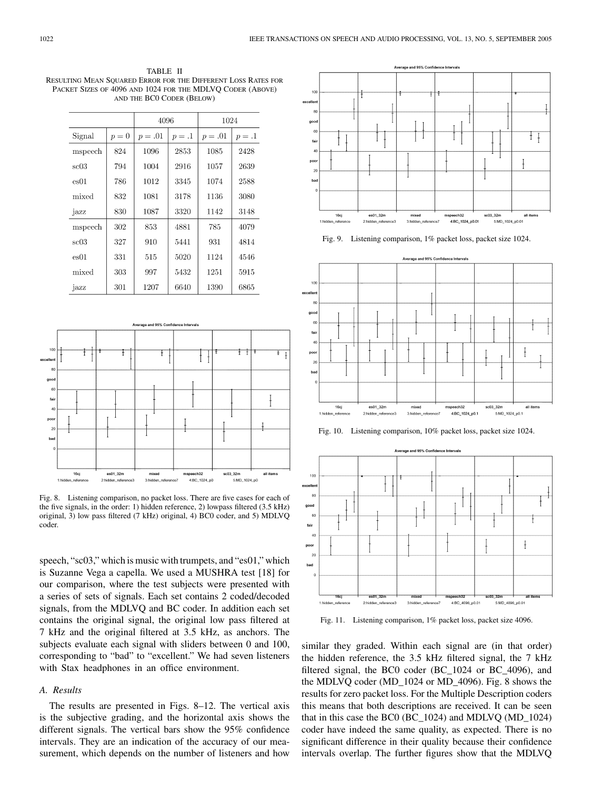TABLE II RESULTING MEAN SQUARED ERROR FOR THE DIFFERENT LOSS RATES FOR PACKET SIZES OF 4096 AND 1024 FOR THE MDLVQ CODER (ABOVE) AND THE BC0 CODER (BELOW)

|                 |       | 4096    |        | 1024    |        |
|-----------------|-------|---------|--------|---------|--------|
| Signal          | $p=0$ | $p=.01$ | $p=.1$ | $p=.01$ | $p=.1$ |
| mspeech         | 824   | 1096    | 2853   | 1085    | 2428   |
| sc03            | 794   | 1004    | 2916   | 1057    | 2639   |
| es01            | 786   | 1012    | 3345   | 1074    | 2588   |
| mixed           | 832   | 1081    | 3178   | 1136    | 3080   |
| jazz            | 830   | 1087    | 3320   | 1142    | 3148   |
| mspeech         | 302   | 853     | 4881   | 785     | 4079   |
| $\mathrm{sc}03$ | 327   | 910     | 5441   | 931     | 4814   |
| $_{\rm es01}$   | 331   | 515     | 5020   | 1124    | 4546   |
| mixed           | 303   | 997     | 5432   | 1251    | 5915   |
| jazz            | 301   | 1207    | 6640   | 1390    | 6865   |



Fig. 8. Listening comparison, no packet loss. There are five cases for each of the five signals, in the order: 1) hidden reference, 2) lowpass filtered (3.5 kHz) original, 3) low pass filtered (7 kHz) original, 4) BC0 coder, and 5) MDLVQ coder.

speech, "sc03," which is music with trumpets, and "es01," which is Suzanne Vega a capella. We used a MUSHRA test [[18\]](#page-9-0) for our comparison, where the test subjects were presented with a series of sets of signals. Each set contains 2 coded/decoded signals, from the MDLVQ and BC coder. In addition each set contains the original signal, the original low pass filtered at 7 kHz and the original filtered at 3.5 kHz, as anchors. The subjects evaluate each signal with sliders between 0 and 100, corresponding to "bad" to "excellent." We had seven listeners with Stax headphones in an office environment.

# *A. Results*

The results are presented in Figs. 8–12. The vertical axis is the subjective grading, and the horizontal axis shows the different signals. The vertical bars show the 95% confidence intervals. They are an indication of the accuracy of our measurement, which depends on the number of listeners and how



Fig. 9. Listening comparison, 1% packet loss, packet size 1024.







Fig. 11. Listening comparison, 1% packet loss, packet size 4096.

similar they graded. Within each signal are (in that order) the hidden reference, the 3.5 kHz filtered signal, the 7 kHz filtered signal, the BC0 coder (BC\_1024 or BC\_4096), and the MDLVQ coder (MD\_1024 or MD\_4096). Fig. 8 shows the results for zero packet loss. For the Multiple Description coders this means that both descriptions are received. It can be seen that in this case the BC0 (BC\_1024) and MDLVQ (MD\_1024) coder have indeed the same quality, as expected. There is no significant difference in their quality because their confidence intervals overlap. The further figures show that the MDLVQ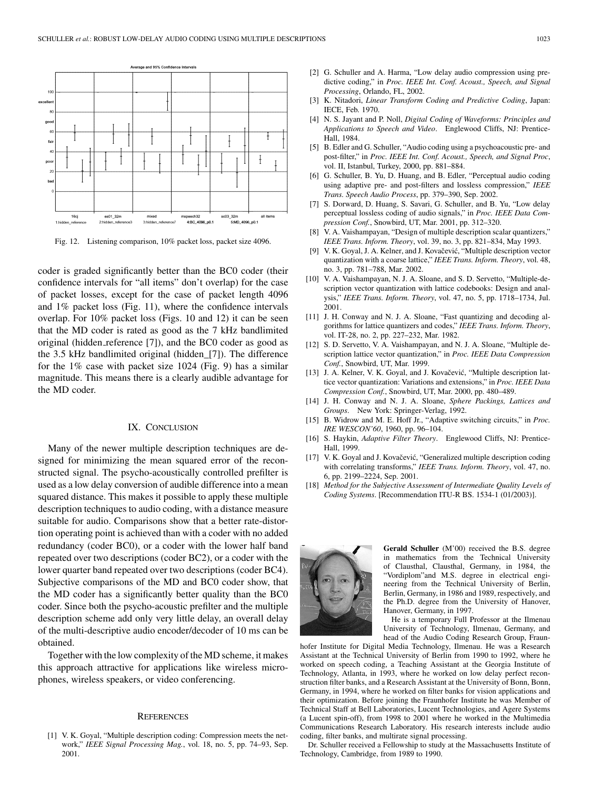<span id="page-9-0"></span>

Fig. 12. Listening comparison, 10% packet loss, packet size 4096.

coder is graded significantly better than the BC0 coder (their confidence intervals for "all items" don't overlap) for the case of packet losses, except for the case of packet length 4096 and 1% packet loss (Fig. 11), where the confidence intervals overlap. For 10% packet loss (Figs. 10 and 12) it can be seen that the MD coder is rated as good as the 7 kHz bandlimited original (hidden reference [7]), and the BC0 coder as good as the 3.5 kHz bandlimited original (hidden\_[7]). The difference for the 1% case with packet size 1024 (Fig. 9) has a similar magnitude. This means there is a clearly audible advantage for the MD coder.

# IX. CONCLUSION

Many of the newer multiple description techniques are designed for minimizing the mean squared error of the reconstructed signal. The psycho-acoustically controlled prefilter is used as a low delay conversion of audible difference into a mean squared distance. This makes it possible to apply these multiple description techniques to audio coding, with a distance measure suitable for audio. Comparisons show that a better rate-distortion operating point is achieved than with a coder with no added redundancy (coder BC0), or a coder with the lower half band repeated over two descriptions (coder BC2), or a coder with the lower quarter band repeated over two descriptions (coder BC4). Subjective comparisons of the MD and BC0 coder show, that the MD coder has a significantly better quality than the BC0 coder. Since both the psycho-acoustic prefilter and the multiple description scheme add only very little delay, an overall delay of the multi-descriptive audio encoder/decoder of 10 ms can be obtained.

Together with the low complexity of the MD scheme, it makes this approach attractive for applications like wireless microphones, wireless speakers, or video conferencing.

#### **REFERENCES**

[1] V. K. Goyal, "Multiple description coding: Compression meets the network," *IEEE Signal Processing Mag.*, vol. 18, no. 5, pp. 74–93, Sep. 2001.

- [2] G. Schuller and A. Harma, "Low delay audio compression using predictive coding," in *Proc. IEEE Int. Conf. Acoust., Speech, and Signal Processing*, Orlando, FL, 2002.
- [3] K. Nitadori, *Linear Transform Coding and Predictive Coding*, Japan: IECE, Feb. 1970.
- [4] N. S. Jayant and P. Noll, *Digital Coding of Waveforms: Principles and Applications to Speech and Video*. Englewood Cliffs, NJ: Prentice-Hall, 1984.
- [5] B. Edler and G. Schuller, "Audio coding using a psychoacoustic pre- and post-filter," in *Proc. IEEE Int. Conf. Acoust., Speech, and Signal Proc*, vol. II, Istanbul, Turkey, 2000, pp. 881–884.
- [6] G. Schuller, B. Yu, D. Huang, and B. Edler, "Perceptual audio coding using adaptive pre- and post-filters and lossless compression," *IEEE Trans. Speech Audio Process*, pp. 379–390, Sep. 2002.
- [7] S. Dorward, D. Huang, S. Savari, G. Schuller, and B. Yu, "Low delay perceptual lossless coding of audio signals," in *Proc. IEEE Data Compression Conf.*, Snowbird, UT, Mar. 2001, pp. 312–320.
- [8] V. A. Vaishampayan, "Design of multiple description scalar quantizers," *IEEE Trans. Inform. Theory*, vol. 39, no. 3, pp. 821–834, May 1993.
- [9] V. K. Goyal, J. A. Kelner, and J. Kovačević, "Multiple description vector quantization with a coarse lattice," *IEEE Trans. Inform. Theory*, vol. 48, no. 3, pp. 781–788, Mar. 2002.
- [10] V. A. Vaishampayan, N. J. A. Sloane, and S. D. Servetto, "Multiple-description vector quantization with lattice codebooks: Design and analysis," *IEEE Trans. Inform. Theory*, vol. 47, no. 5, pp. 1718–1734, Jul. 2001.
- [11] J. H. Conway and N. J. A. Sloane, "Fast quantizing and decoding algorithms for lattice quantizers and codes," *IEEE Trans. Inform. Theory*, vol. IT-28, no. 2, pp. 227–232, Mar. 1982.
- [12] S. D. Servetto, V. A. Vaishampayan, and N. J. A. Sloane, "Multiple description lattice vector quantization," in *Proc. IEEE Data Compression Conf.*, Snowbird, UT, Mar. 1999.
- [13] J. A. Kelner, V. K. Goyal, and J. Kovačević, "Multiple description lattice vector quantization: Variations and extensions," in *Proc. IEEE Data Compression Conf.*, Snowbird, UT, Mar. 2000, pp. 480–489.
- [14] J. H. Conway and N. J. A. Sloane, *Sphere Packings, Lattices and Groups*. New York: Springer-Verlag, 1992.
- [15] B. Widrow and M. E. Hoff Jr., "Adaptive switching circuits," in *Proc. IRE WESCON'60*, 1960, pp. 96–104.
- [16] S. Haykin, *Adaptive Filter Theory*. Englewood Cliffs, NJ: Prentice-Hall, 1999.
- [17] V. K. Goyal and J. Kovačević, "Generalized multiple description coding with correlating transforms," *IEEE Trans. Inform. Theory*, vol. 47, no. 6, pp. 2199–2224, Sep. 2001.
- [18] *Method for the Subjective Assessment of Intermediate Quality Levels of Coding Systems*. [Recommendation ITU-R BS. 1534-1 (01/2003)].



**Gerald Schuller** (M'00) received the B.S. degree in mathematics from the Technical University of Clausthal, Clausthal, Germany, in 1984, the "Vordiplom"and M.S. degree in electrical engineering from the Technical University of Berlin, Berlin, Germany, in 1986 and 1989, respectively, and the Ph.D. degree from the University of Hanover, Hanover, Germany, in 1997.

He is a temporary Full Professor at the Ilmenau University of Technology, Ilmenau, Germany, and head of the Audio Coding Research Group, Fraun-

hofer Institute for Digital Media Technology, Ilmenau. He was a Research Assistant at the Technical University of Berlin from 1990 to 1992, where he worked on speech coding, a Teaching Assistant at the Georgia Institute of Technology, Atlanta, in 1993, where he worked on low delay perfect reconstruction filter banks, and a Research Assistant at the University of Bonn, Bonn, Germany, in 1994, where he worked on filter banks for vision applications and their optimization. Before joining the Fraunhofer Institute he was Member of Technical Staff at Bell Laboratories, Lucent Technologies, and Agere Systems (a Lucent spin-off), from 1998 to 2001 where he worked in the Multimedia Communications Research Laboratory. His research interests include audio coding, filter banks, and multirate signal processing.

Dr. Schuller received a Fellowship to study at the Massachusetts Institute of Technology, Cambridge, from 1989 to 1990.